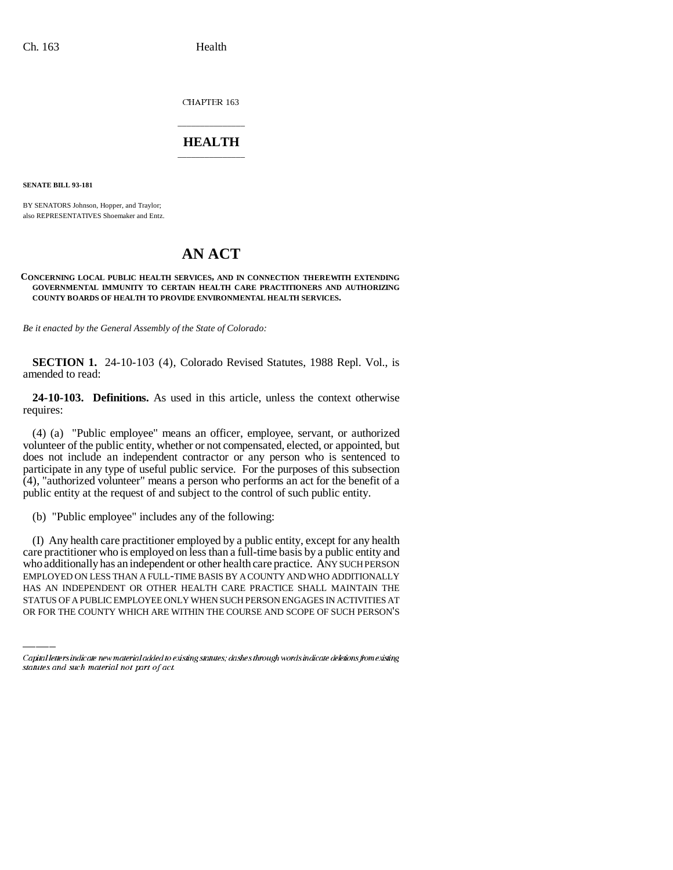CHAPTER 163

## \_\_\_\_\_\_\_\_\_\_\_\_\_\_\_ **HEALTH** \_\_\_\_\_\_\_\_\_\_\_\_\_\_\_

**SENATE BILL 93-181**

BY SENATORS Johnson, Hopper, and Traylor; also REPRESENTATIVES Shoemaker and Entz.

## **AN ACT**

## **CONCERNING LOCAL PUBLIC HEALTH SERVICES, AND IN CONNECTION THEREWITH EXTENDING GOVERNMENTAL IMMUNITY TO CERTAIN HEALTH CARE PRACTITIONERS AND AUTHORIZING COUNTY BOARDS OF HEALTH TO PROVIDE ENVIRONMENTAL HEALTH SERVICES.**

*Be it enacted by the General Assembly of the State of Colorado:*

**SECTION 1.** 24-10-103 (4), Colorado Revised Statutes, 1988 Repl. Vol., is amended to read:

**24-10-103. Definitions.** As used in this article, unless the context otherwise requires:

(4) (a) "Public employee" means an officer, employee, servant, or authorized volunteer of the public entity, whether or not compensated, elected, or appointed, but does not include an independent contractor or any person who is sentenced to participate in any type of useful public service. For the purposes of this subsection (4), "authorized volunteer" means a person who performs an act for the benefit of a public entity at the request of and subject to the control of such public entity.

(b) "Public employee" includes any of the following:

who additionally has an independent or other health care practice. ANY SUCH PERSON (I) Any health care practitioner employed by a public entity, except for any health care practitioner who is employed on less than a full-time basis by a public entity and EMPLOYED ON LESS THAN A FULL-TIME BASIS BY A COUNTY AND WHO ADDITIONALLY HAS AN INDEPENDENT OR OTHER HEALTH CARE PRACTICE SHALL MAINTAIN THE STATUS OF A PUBLIC EMPLOYEE ONLY WHEN SUCH PERSON ENGAGES IN ACTIVITIES AT OR FOR THE COUNTY WHICH ARE WITHIN THE COURSE AND SCOPE OF SUCH PERSON'S

Capital letters indicate new material added to existing statutes; dashes through words indicate deletions from existing statutes and such material not part of act.